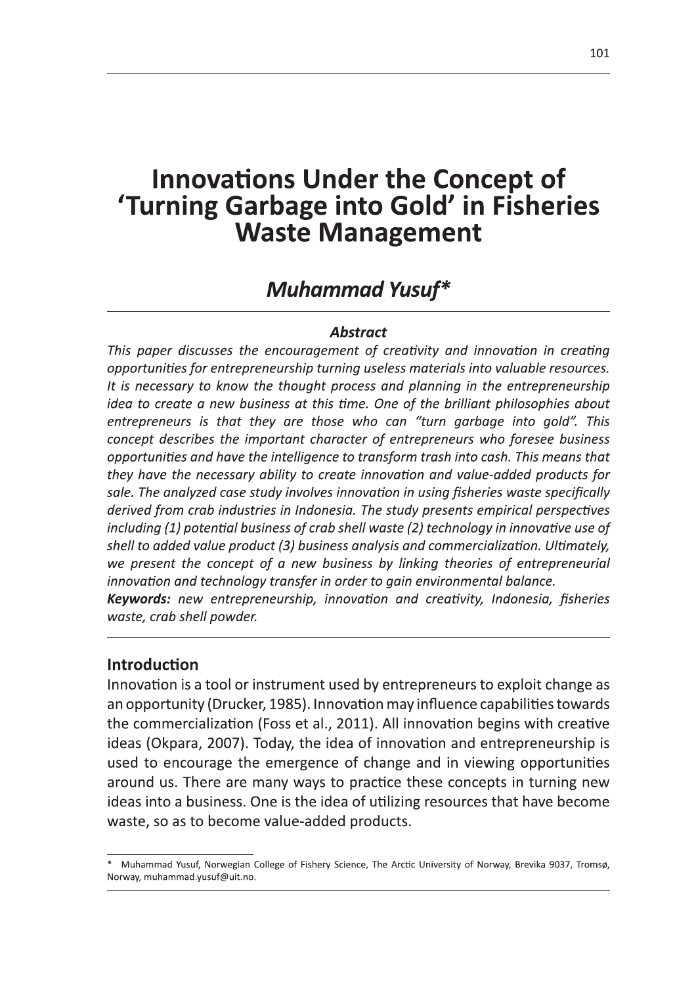## Innovations Under the Concept of OT<br>eries 'Turning Garbage into Gold' in Fisheries

**Innovations Under the Concept of**<br> **Turning Garbage into Gold' in Fisheries**<br> **Waste Management**<br> **Muhammad Yusuf\***<br> **Muhammad Yusuf\***<br> **Muhammad Yusuf\***<br> **Muhammad Yusuf\***<br> **Abstract**<br>
This paper discusses the encourage shell to added value product (3) business analysis and commercialization. Ultimately, We present the concept of a new business by linking theories of entrepreneurial innovation and technology transfer in order to gain environmental balance. Keywords: new entrepreneurship, innovation and creativity, Indonesia, fisheries waste, crab shell powder.

#### **Introduction**

Innovation is a tool or instrument used by entrepreneurs to exploit change as an opportunity (Drucker, 1985). Innovation may influence capabilities towards the commercialization (Foss et al., 2011). All innovation begins with creative  $\blacksquare$ ideas (Okpara, 2007). Today, the idea of innovation and entrepreneurship is used to encourage the emergence of change and in viewing opportunities around us. There are many ways to practice these concepts in turning new ideas into a business. One is the idea of utilizing resources that have become waste, so as to become value-added products.

 $^*$  Muhammad Yusuf, Norwegian College of Fishery Science, The Arctic University of Norway, Brevika 9037, Tromsø, Norway, muhammad.yusuf@uit.no.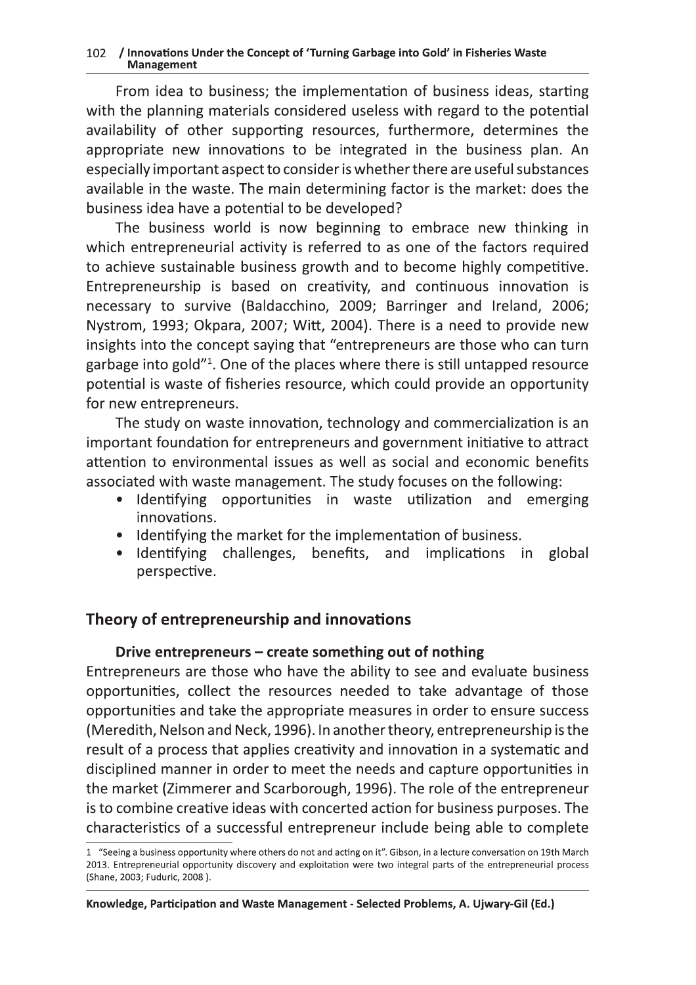# -  !

102 / Innovations Under the Concept of 'Turning Garbage into Gold' in Fisheries Waste<br> **Management**<br>
From idea to business; the implementation of business ideas, sta<br>
with the planning materials considered useless with reg From idea to business; the implementation of business ideas, starting with the planning materials considered useless with regard to the potential availability of other supporting resources, furthermore, determines the appropriate new innovations to be integrated in the business plan. An especially important aspect to consider is whether there are useful substances available in the waste. The main determining factor is the market: does the business idea have a potential to be developed?

The business world is now beginning to embrace new thinking in which entrepreneurial activity is referred to as one of the factors required to achieve sustainable business growth and to become highly competitive. Entrepreneurship is based on creativity, and continuous innovation is necessary to survive (Baldacchino, 2009; Barringer and Ireland, 2006; Nystrom, 1993; Okpara, 2007; Witt, 2004). There is a need to provide new insights into the concept saying that "entrepreneurs are those who can turn garbage into gold"<sup>1</sup>. One of the places where there is still untapped resource potential is waste of fisheries resource, which could provide an opportunity for new entrepreneurs.

The study on waste innovation, technology and commercialization is an important foundation for entrepreneurs and government initiative to attract attention to environmental issues as well as social and economic benefits associated with waste management. The study focuses on the following:

- Identifying opportunities in waste utilization and emerging innovations.
- Identifying the market for the implementation of business.
- $\blacksquare$ Identifying challenges, benefits, and implications in global  $\bullet$ perspective.

## Theory of entrepreneurship and innovations

### Drive entrepreneurs – create something out of nothing

Entrepreneurs are those who have the ability to see and evaluate business opportunities, collect the resources needed to take advantage of those opportunities and take the appropriate measures in order to ensure success (Meredith, Nelson and Neck, 1996). In another theory, entrepreneurship is the result of a process that applies creativity and innovation in a systematic and disciplined manner in order to meet the needs and capture opportunities in the market (Zimmerer and Scarborough, 1996). The role of the entrepreneur is to combine creative ideas with concerted action for business purposes. The characteristics of a successful entrepreneur include being able to complete

<sup>1 &</sup>quot;Seeing a business opportunity where others do not and acting on it". Gibson, in a lecture conversation on 19th March 2013. Entrepreneurial opportunity discovery and exploitation were two integral parts of the entrepreneurial process (Shane, 2003; Fuduric, 2008 ).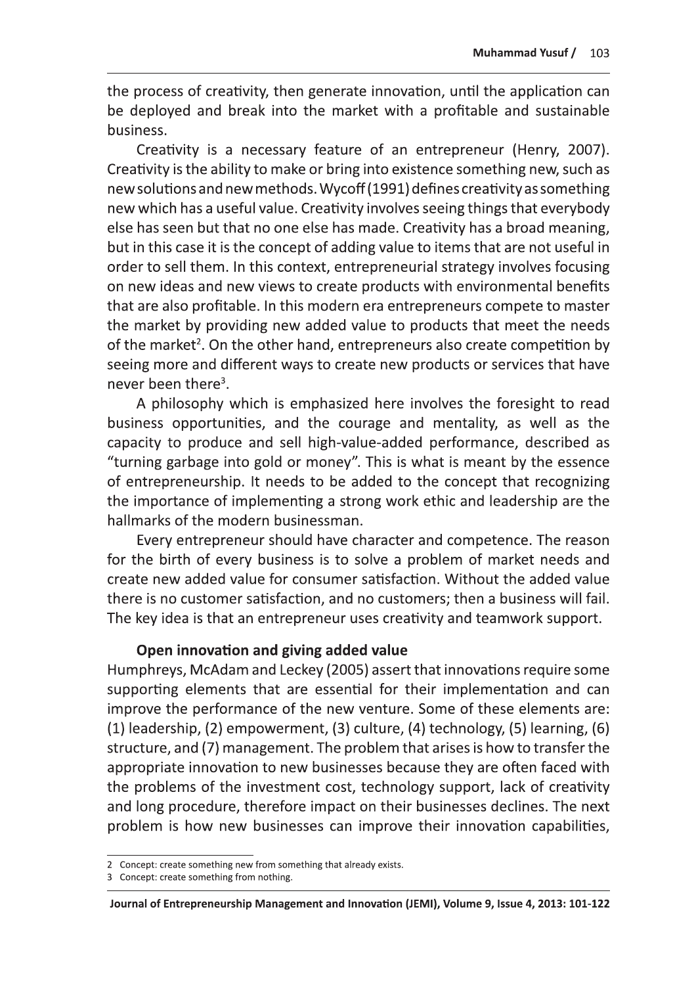the process of creativity, then generate innovation, until the application can be deployed and break into the market with a profitable and sustainable business.

Creativity is a necessary feature of an entrepreneur (Henry, 2007). Creativity is the ability to make or bring into existence something new, such as new solutions and new methods. Wycoff (1991) defines creativity as something new which has a useful value. Creativity involves seeing things that everybody else has seen but that no one else has made. Creativity has a broad meaning, but in this case it is the concept of adding value to items that are not useful in order to sell them. In this context, entrepreneurial strategy involves focusing on new ideas and new views to create products with environmental benefits that are also profitable. In this modern era entrepreneurs compete to master the market by providing new added value to products that meet the needs of the market<sup>2</sup>. On the other hand, entrepreneurs also create competition by seeing more and different ways to create new products or services that have never been there<sup>3</sup>.

A philosophy which is emphasized here involves the foresight to read business opportunities, and the courage and mentality, as well as the capacity to produce and sell high-value-added performance, described as "turning garbage into gold or money". This is what is meant by the essence of entrepreneurship. It needs to be added to the concept that recognizing the importance of implementing a strong work ethic and leadership are the hallmarks of the modern businessman.

Every entrepreneur should have character and competence. The reason for the birth of every business is to solve a problem of market needs and create new added value for consumer satisfaction. Without the added value there is no customer satisfaction, and no customers; then a business will fail. The key idea is that an entrepreneur uses creativity and teamwork support.

#### Open innovation and giving added value

Humphreys, McAdam and Leckey (2005) assert that innovations require some supporting elements that are essential for their implementation and can improve the performance of the new venture. Some of these elements are:  $(1)$  leadership,  $(2)$  empowerment,  $(3)$  culture,  $(4)$  technology,  $(5)$  learning,  $(6)$ structure, and (7) management. The problem that arises is how to transfer the appropriate innovation to new businesses because they are often faced with the problems of the investment cost, technology support, lack of creativity and long procedure, therefore impact on their businesses declines. The next problem is how new businesses can improve their innovation capabilities,

<sup>2</sup> Concept: create something new from something that already exists.

<sup>3</sup> Concept: create something from nothing.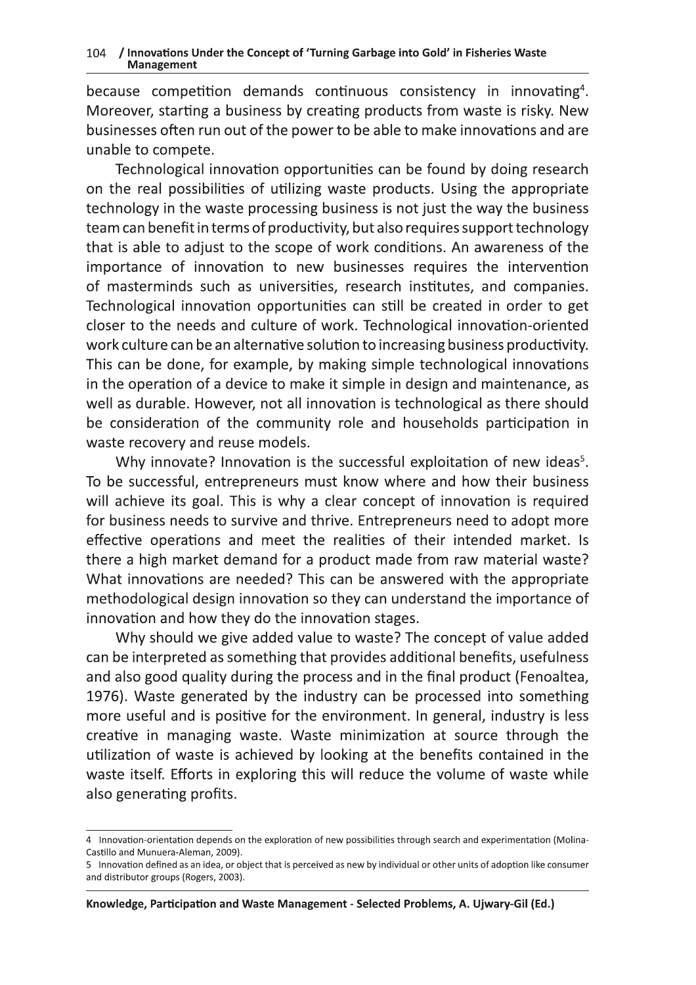because competition demands continuous consistency in innovating<sup>4</sup>. Moreover, starting a business by creating products from waste is risky. New businesses often run out of the power to be able to make innovations and are unable to compete.

Technological innovation opportunities can be found by doing research on the real possibilities of utilizing waste products. Using the appropriate technology in the waste processing business is not just the way the business team can benefit in terms of productivity, but also requires support technology that is able to adjust to the scope of work conditions. An awareness of the importance of innovation to new businesses requires the intervention of masterminds such as universities, research institutes, and companies. Technological innovation opportunities can still be created in order to get closer to the needs and culture of work. Technological innovation-oriented work culture can be an alternative solution to increasing business productivity. This can be done, for example, by making simple technological innovations in the operation of a device to make it simple in design and maintenance, as well as durable. However, not all innovation is technological as there should be consideration of the community role and households participation in waste recovery and reuse models.

Why innovate? Innovation is the successful exploitation of new ideas<sup>5</sup>. To be successful, entrepreneurs must know where and how their business will achieve its goal. This is why a clear concept of innovation is required for business needs to survive and thrive. Entrepreneurs need to adopt more effective operations and meet the realities of their intended market. Is there a high market demand for a product made from raw material waste? What innovations are needed? This can be answered with the appropriate methodological design innovation so they can understand the importance of innovation and how they do the innovation stages.

Why should we give added value to waste? The concept of value added can be interpreted as something that provides additional benefits, usefulness and also good quality during the process and in the final product (Fenoaltea, 1976). Waste generated by the industry can be processed into something more useful and is positive for the environment. In general, industry is less creative in managing waste. Waste minimization at source through the utilization of waste is achieved by looking at the benefits contained in the waste itself. Efforts in exploring this will reduce the volume of waste while also generating profits.

<sup>4</sup> Innovation-orientation depends on the exploration of new possibilities through search and experimentation (Molina-Castillo and Munuera-Aleman, 2009).

<sup>5</sup> Innovation defined as an idea, or object that is perceived as new by individual or other units of adoption like consumer and distributor groups (Rogers, 2003).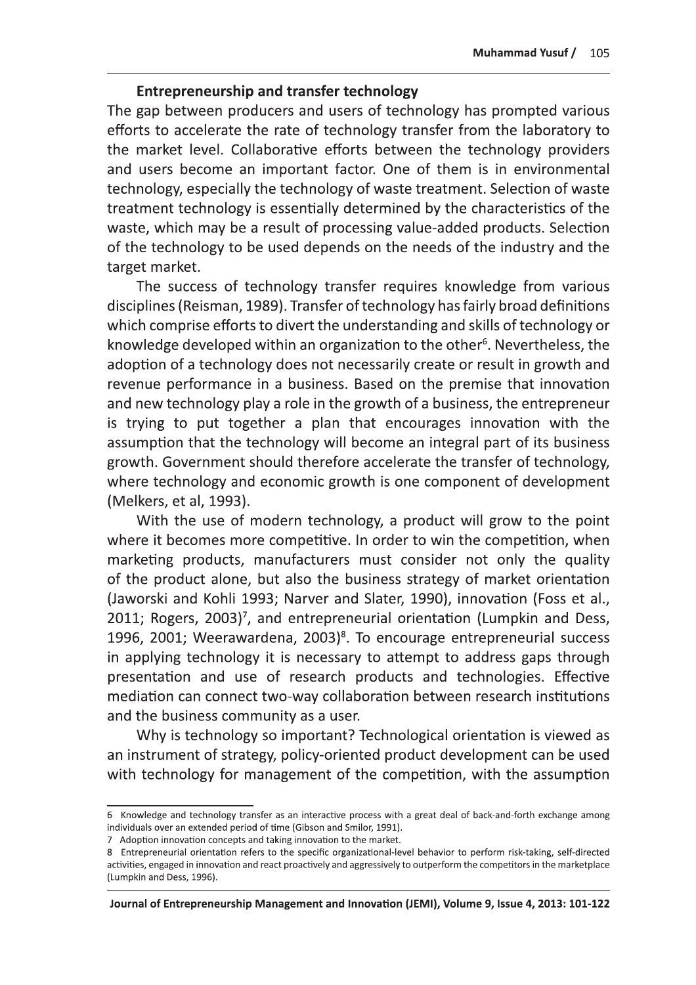#### **Entrepreneurship and transfer technology**

The gap between producers and users of technology has prompted various efforts to accelerate the rate of technology transfer from the laboratory to the market level. Collaborative efforts between the technology providers and users become an important factor. One of them is in environmental technology, especially the technology of waste treatment. Selection of waste treatment technology is essentially determined by the characteristics of the waste, which may be a result of processing value-added products. Selection of the technology to be used depends on the needs of the industry and the target market.

The success of technology transfer requires knowledge from various disciplines (Reisman, 1989). Transfer of technology has fairly broad definitions which comprise efforts to divert the understanding and skills of technology or knowledge developed within an organization to the other<sup>6</sup>. Nevertheless, the adoption of a technology does not necessarily create or result in growth and revenue performance in a business. Based on the premise that innovation and new technology play a role in the growth of a business, the entrepreneur is trying to put together a plan that encourages innovation with the assumption that the technology will become an integral part of its business growth. Government should therefore accelerate the transfer of technology, where technology and economic growth is one component of development (Melkers, et al, 1993).

With the use of modern technology, a product will grow to the point where it becomes more competitive. In order to win the competition, when marketing products, manufacturers must consider not only the quality of the product alone, but also the business strategy of market orientation (Jaworski and Kohli 1993; Narver and Slater, 1990), innovation (Foss et al., 2011; Rogers, 2003)<sup>7</sup>, and entrepreneurial orientation (Lumpkin and Dess, 1996, 2001; Weerawardena, 2003)<sup>8</sup>. To encourage entrepreneurial success in applying technology it is necessary to attempt to address gaps through presentation and use of research products and technologies. Effective mediation can connect two-way collaboration between research institutions and the business community as a user.

Why is technology so important? Technological orientation is viewed as an instrument of strategy, policy-oriented product development can be used with technology for management of the competition, with the assumption

Journal of Entrepreneurship Management and Innovation (JEMI), Volume 9, Issue 4, 2013: 101-122

<sup>6</sup> Knowledge and technology transfer as an interactive process with a great deal of back-and-forth exchange among individuals over an extended period of time (Gibson and Smilor, 1991).

<sup>7</sup> Adoption innovation concepts and taking innovation to the market.

<sup>8</sup> Entrepreneurial orientation refers to the specific organizational-level behavior to perform risk-taking, self-directed activities, engaged in innovation and react proactively and aggressively to outperform the competitors in the marketplace (Lumpkin and Dess, 1996).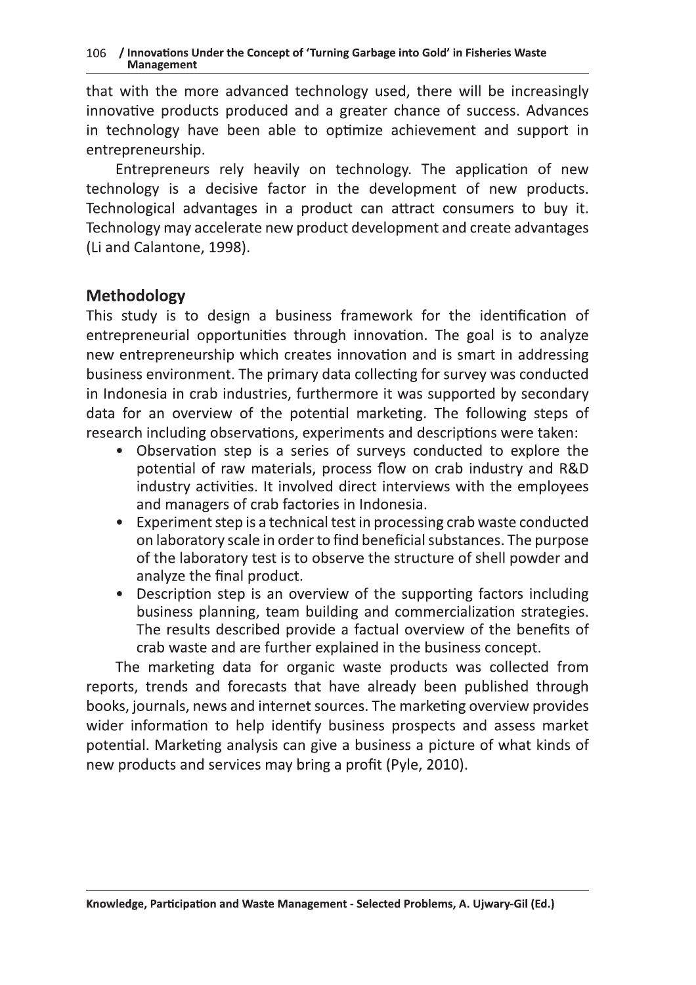that with the more advanced technology used, there will be increasingly innovative products produced and a greater chance of success. Advances in technology have been able to optimize achievement and support in entrepreneurship.

Entrepreneurs rely heavily on technology. The application of new technology is a decisive factor in the development of new products. Technological advantages in a product can attract consumers to buy it. Technology may accelerate new product development and create advantages (Li and Calantone, 1998).

### **Methodology**

This study is to design a business framework for the identification of entrepreneurial opportunities through innovation. The goal is to analyze new entrepreneurship which creates innovation and is smart in addressing business environment. The primary data collecting for survey was conducted in Indonesia in crab industries, furthermore it was supported by secondary data for an overview of the potential marketing. The following steps of research including observations, experiments and descriptions were taken:

- Observation step is a series of surveys conducted to explore the  $\bullet$ potential of raw materials, process flow on crab industry and R&D industry activities. It involved direct interviews with the employees and managers of crab factories in Indonesia.
- Experiment step is a technical test in processing crab waste conducted  $\bullet$ on laboratory scale in order to find beneficial substances. The purpose of the laboratory test is to observe the structure of shell powder and analyze the final product.
- Description step is an overview of the supporting factors including  $\bullet$ business planning, team building and commercialization strategies. The results described provide a factual overview of the benefits of crab waste and are further explained in the business concept.

The marketing data for organic waste products was collected from reports, trends and forecasts that have already been published through books, journals, news and internet sources. The marketing overview provides wider information to help identify business prospects and assess market potential. Marketing analysis can give a business a picture of what kinds of new products and services may bring a profit (Pyle, 2010).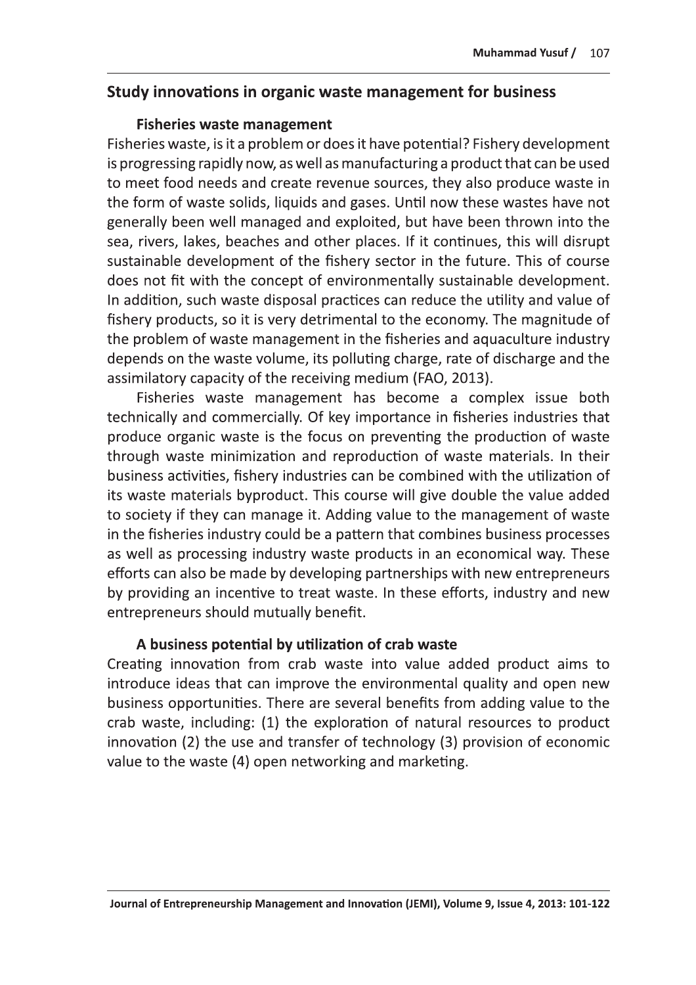#### Study innovations in organic waste management for business

#### **Fisheries waste management**

Fisheries waste, is it a problem or does it have potential? Fishery development is progressing rapidly now, as well as manufacturing a product that can be used to meet food needs and create revenue sources, they also produce waste in the form of waste solids, liquids and gases. Until now these wastes have not generally been well managed and exploited, but have been thrown into the sea, rivers, lakes, beaches and other places. If it continues, this will disrupt sustainable development of the fishery sector in the future. This of course does not fit with the concept of environmentally sustainable development. In addition, such waste disposal practices can reduce the utility and value of fishery products, so it is very detrimental to the economy. The magnitude of the problem of waste management in the fisheries and aquaculture industry depends on the waste volume, its polluting charge, rate of discharge and the assimilatory capacity of the receiving medium (FAO, 2013).

Fisheries waste management has become a complex issue both technically and commercially. Of key importance in fisheries industries that produce organic waste is the focus on preventing the production of waste through waste minimization and reproduction of waste materials. In their business activities, fishery industries can be combined with the utilization of its waste materials byproduct. This course will give double the value added to society if they can manage it. Adding value to the management of waste in the fisheries industry could be a pattern that combines business processes as well as processing industry waste products in an economical way. These efforts can also be made by developing partnerships with new entrepreneurs by providing an incentive to treat waste. In these efforts, industry and new entrepreneurs should mutually benefit.

#### A business potential by utilization of crab waste

Creating innovation from crab waste into value added product aims to introduce ideas that can improve the environmental quality and open new business opportunities. There are several benefits from adding value to the crab waste, including: (1) the exploration of natural resources to product innovation (2) the use and transfer of technology (3) provision of economic value to the waste (4) open networking and marketing.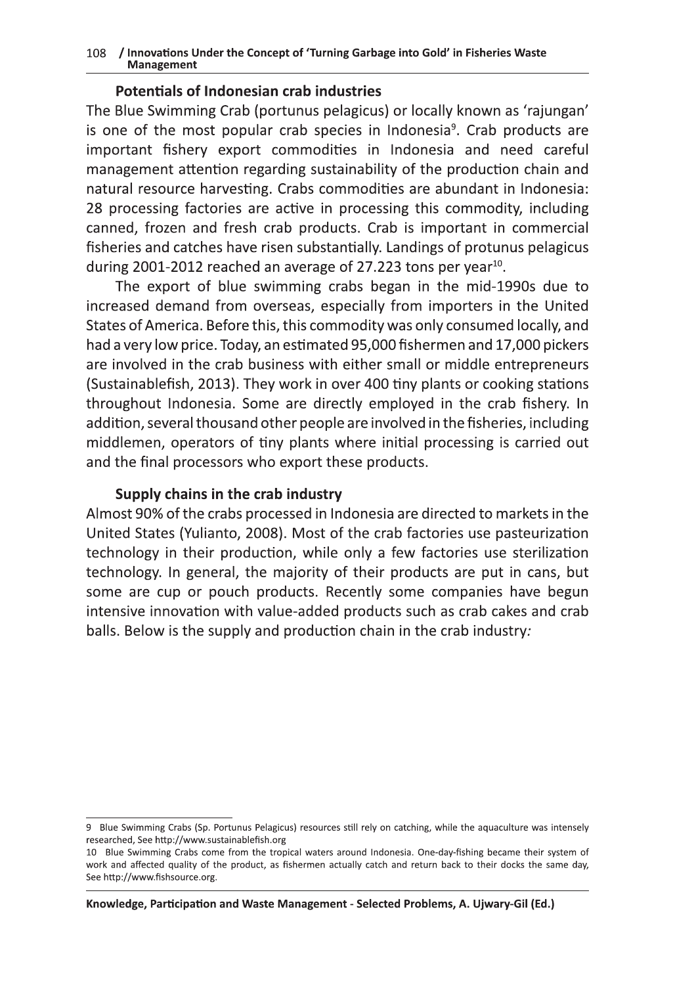#### 108 / Innovations Under the Concept of 'Turning Garbage into Gold' in Fisheries Waste **Management**

#### **Potentials of Indonesian crab industries**

The Blue Swimming Crab (portunus pelagicus) or locally known as 'rajungan' is one of the most popular crab species in Indonesia<sup>9</sup>. Crab products are important fishery export commodities in Indonesia and need careful management attention regarding sustainability of the production chain and natural resource harvesting. Crabs commodities are abundant in Indonesia: 28 processing factories are active in processing this commodity, including canned, frozen and fresh crab products. Crab is important in commercial fisheries and catches have risen substantially. Landings of protunus pelagicus during 2001-2012 reached an average of 27.223 tons per year<sup>10</sup>.

The export of blue swimming crabs began in the mid-1990s due to increased demand from overseas, especially from importers in the United States of America. Before this, this commodity was only consumed locally, and had a very low price. Today, an estimated 95,000 fishermen and 17,000 pickers are involved in the crab business with either small or middle entrepreneurs (Sustainablefish, 2013). They work in over 400 tiny plants or cooking stations throughout Indonesia. Some are directly employed in the crab fishery. In addition, several thousand other people are involved in the fisheries, including middlemen, operators of tiny plants where initial processing is carried out and the final processors who export these products.

#### Supply chains in the crab industry

Almost 90% of the crabs processed in Indonesia are directed to markets in the United States (Yulianto, 2008). Most of the crab factories use pasteurization technology in their production, while only a few factories use sterilization technology. In general, the majority of their products are put in cans, but some are cup or pouch products. Recently some companies have begun intensive innovation with value-added products such as crab cakes and crab balls. Below is the supply and production chain in the crab industry:

<sup>9</sup> Blue Swimming Crabs (Sp. Portunus Pelagicus) resources still rely on catching, while the aquaculture was intensely researched, See http://www.sustainablefish.org

<sup>10</sup> Blue Swimming Crabs come from the tropical waters around Indonesia. One-day-fishing became their system of work and affected quality of the product, as fishermen actually catch and return back to their docks the same day, See http://www.fishsource.org.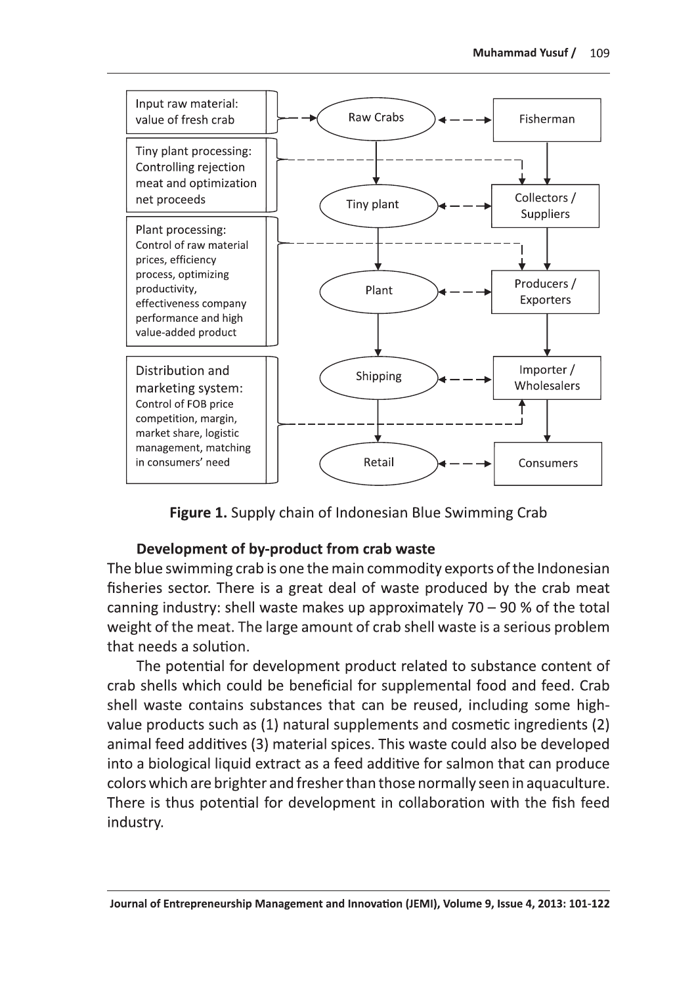

Figure 1. Supply chain of Indonesian Blue Swimming Crab

### Development of by-product from crab waste

The blue swimming crab is one the main commodity exports of the Indonesian fisheries sector. There is a great deal of waste produced by the crab meat canning industry: shell waste makes up approximately  $70 - 90$  % of the total weight of the meat. The large amount of crab shell waste is a serious problem that needs a solution.

The potential for development product related to substance content of crab shells which could be beneficial for supplemental food and feed. Crab shell waste contains substances that can be reused, including some highvalue products such as (1) natural supplements and cosmetic ingredients (2) animal feed additives (3) material spices. This waste could also be developed into a biological liquid extract as a feed additive for salmon that can produce colors which are brighter and fresher than those normally seen in aquaculture. There is thus potential for development in collaboration with the fish feed industry.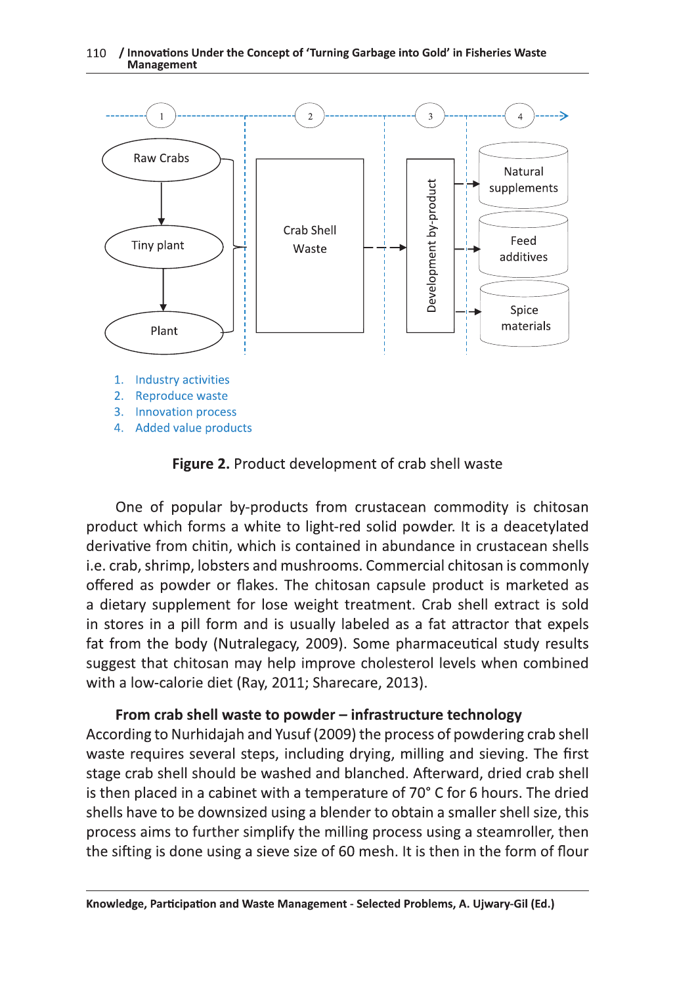#### 110 / Innovations Under the Concept of 'Turning Garbage into Gold' in Fisheries Waste **Management**



Figure 2. Product development of crab shell waste

One of popular by-products from crustacean commodity is chitosan product which forms a white to light-red solid powder. It is a deacetylated derivative from chitin, which is contained in abundance in crustacean shells i.e. crab, shrimp, lobsters and mushrooms. Commercial chitosan is commonly offered as powder or flakes. The chitosan capsule product is marketed as a dietary supplement for lose weight treatment. Crab shell extract is sold in stores in a pill form and is usually labeled as a fat attractor that expels fat from the body (Nutralegacy, 2009). Some pharmaceutical study results suggest that chitosan may help improve cholesterol levels when combined with a low-calorie diet (Ray, 2011; Sharecare, 2013).

#### From crab shell waste to powder - infrastructure technology

According to Nurhidajah and Yusuf (2009) the process of powdering crab shell waste requires several steps, including drying, milling and sieving. The first stage crab shell should be washed and blanched. Afterward, dried crab shell is then placed in a cabinet with a temperature of 70° C for 6 hours. The dried shells have to be downsized using a blender to obtain a smaller shell size, this process aims to further simplify the milling process using a steamroller, then the sifting is done using a sieve size of 60 mesh. It is then in the form of flour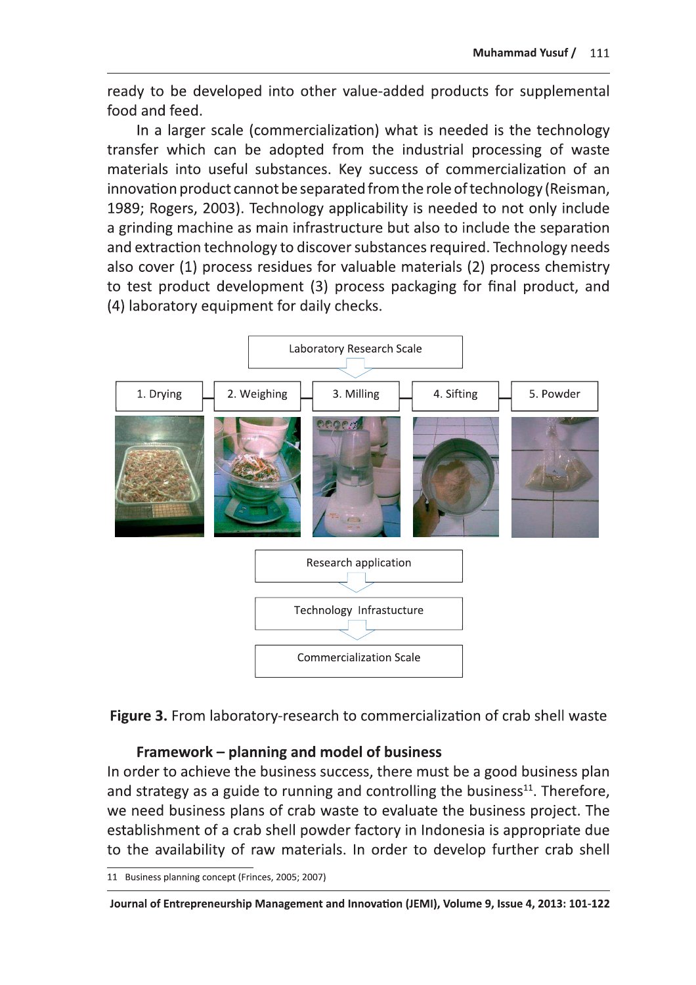ready to be developed into other value-added products for supplemental food and feed.

In a larger scale (commercialization) what is needed is the technology transfer which can be adopted from the industrial processing of waste materials into useful substances. Key success of commercialization of an innovation product cannot be separated from the role of technology (Reisman, 1989; Rogers, 2003). Technology applicability is needed to not only include a grinding machine as main infrastructure but also to include the separation and extraction technology to discover substances required. Technology needs also cover (1) process residues for valuable materials (2) process chemistry to test product development (3) process packaging for final product, and (4) laboratory equipment for daily checks.





#### Framework – planning and model of business

In order to achieve the business success, there must be a good business plan and strategy as a guide to running and controlling the business<sup>11</sup>. Therefore, we need business plans of crab waste to evaluate the business project. The establishment of a crab shell powder factory in Indonesia is appropriate due to the availability of raw materials. In order to develop further crab shell

<sup>11</sup> Business planning concept (Frinces, 2005; 2007)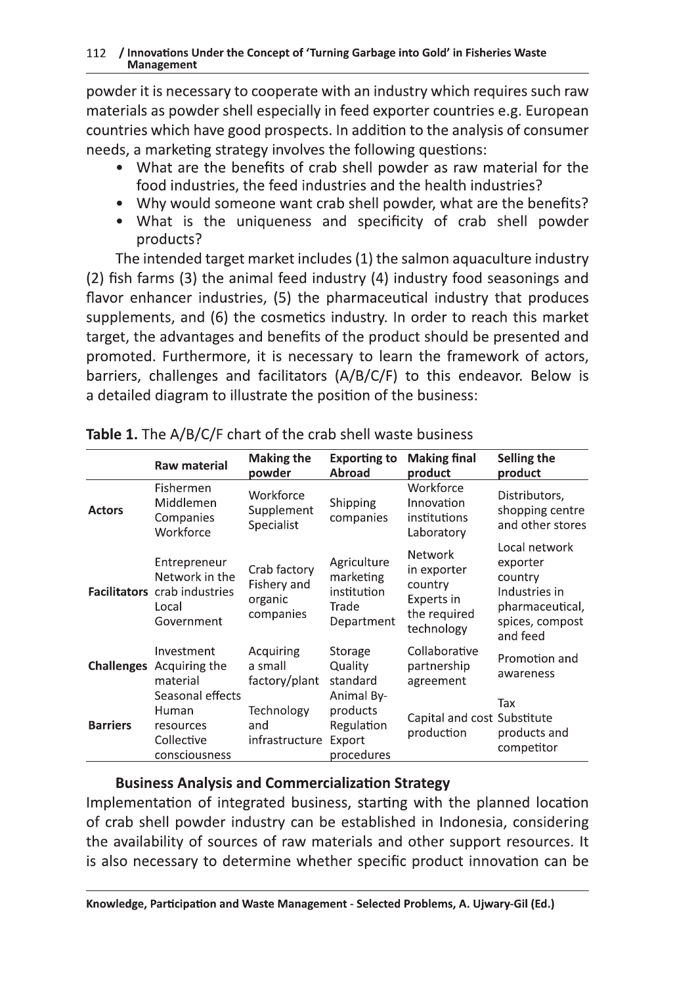powder it is necessary to cooperate with an industry which requires such raw materials as powder shell especially in feed exporter countries e.g. European countries which have good prospects. In addition to the analysis of consumer needs, a marketing strategy involves the following questions:

- What are the benefits of crab shell powder as raw material for the food industries, the feed industries and the health industries?
- Why would someone want crab shell powder, what are the benefits?
- What is the uniqueness and specificity of crab shell powder products?

The intended target market includes (1) the salmon aquaculture industry (2) fish farms (3) the animal feed industry (4) industry food seasonings and flavor enhancer industries, (5) the pharmaceutical industry that produces supplements, and (6) the cosmetics industry. In order to reach this market target, the advantages and benefits of the product should be presented and promoted. Furthermore, it is necessary to learn the framework of actors, barriers, challenges and facilitators (A/B/C/F) to this endeavor. Below is a detailed diagram to illustrate the position of the business:

|                 | <b>Raw material</b>                                                                   | <b>Making the</b><br>powder                         | <b>Exporting to</b><br><b>Abroad</b>                           | <b>Making final</b><br>product                                                       | Selling the<br>product                                                                                  |
|-----------------|---------------------------------------------------------------------------------------|-----------------------------------------------------|----------------------------------------------------------------|--------------------------------------------------------------------------------------|---------------------------------------------------------------------------------------------------------|
|                 | Fishermen                                                                             |                                                     |                                                                | Workforce                                                                            |                                                                                                         |
| <b>Actors</b>   | Middlemen<br>Companies<br>Workforce                                                   | Workforce<br>Supplement<br>Specialist               | Shipping<br>companies                                          | Innovation<br>institutions<br>Laboratory                                             | Distributors,<br>shopping centre<br>and other stores                                                    |
|                 | Entrepreneur<br>Network in the<br>Facilitators crab industries<br>Local<br>Government | Crab factory<br>Fishery and<br>organic<br>companies | Agriculture<br>marketing<br>institution<br>Trade<br>Department | <b>Network</b><br>in exporter<br>country<br>Experts in<br>the required<br>technology | Local network<br>exporter<br>country<br>Industries in<br>pharmaceutical,<br>spices, compost<br>and feed |
|                 | Investment<br><b>Challenges</b> Acquiring the<br>material                             | Acquiring<br>a small<br>factory/plant               | Storage<br>Quality<br>standard                                 | Collaborative<br>partnership<br>agreement                                            | Promotion and<br>awareness                                                                              |
| <b>Barriers</b> | Seasonal effects<br>Human<br>resources<br>Collective<br>consciousness                 | Technology<br>and<br>infrastructure                 | Animal By-<br>products<br>Regulation<br>Export<br>procedures   | Capital and cost Substitute<br>production                                            | Tax<br>products and<br>competitor                                                                       |

|  |  | Table 1. The A/B/C/F chart of the crab shell waste business |
|--|--|-------------------------------------------------------------|
|--|--|-------------------------------------------------------------|

### **Business Analysis and Commercialization Strategy**

Implementation of integrated business, starting with the planned location of crab shell powder industry can be established in Indonesia, considering the availability of sources of raw materials and other support resources. It is also necessary to determine whether specific product innovation can be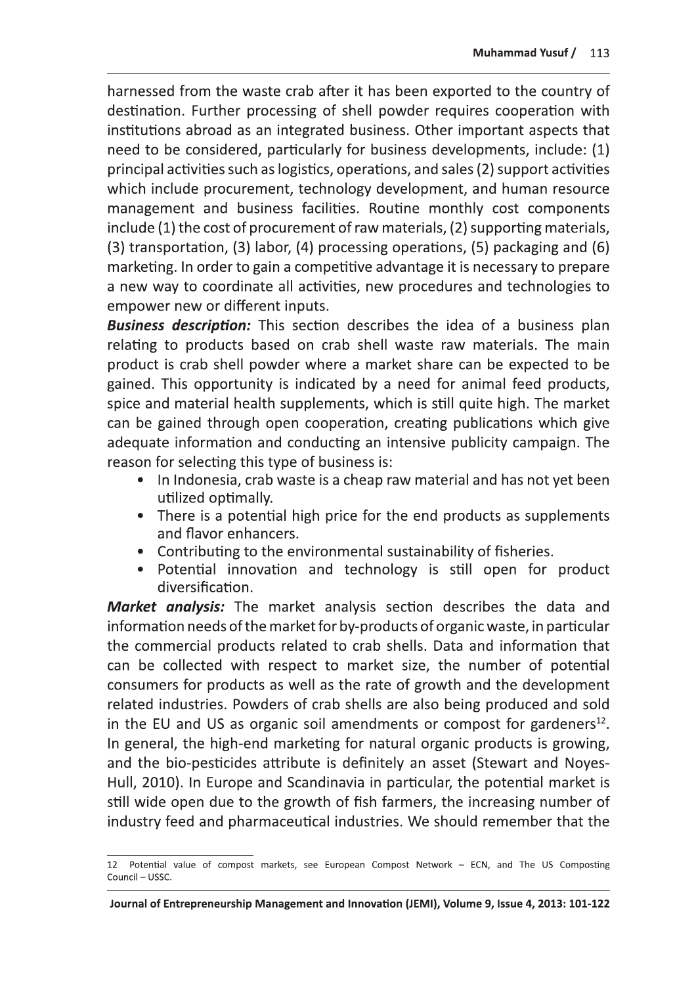harnessed from the waste crab after it has been exported to the country of destination. Further processing of shell powder requires cooperation with institutions abroad as an integrated business. Other important aspects that need to be considered, particularly for business developments, include: (1) principal activities such as logistics, operations, and sales (2) support activities which include procurement, technology development, and human resource management and business facilities. Routine monthly cost components include (1) the cost of procurement of raw materials, (2) supporting materials, (3) transportation, (3) labor, (4) processing operations, (5) packaging and (6) marketing. In order to gain a competitive advantage it is necessary to prepare a new way to coordinate all activities, new procedures and technologies to empower new or different inputs.

**Business description:** This section describes the idea of a business plan relating to products based on crab shell waste raw materials. The main product is crab shell powder where a market share can be expected to be gained. This opportunity is indicated by a need for animal feed products, spice and material health supplements, which is still quite high. The market can be gained through open cooperation, creating publications which give adequate information and conducting an intensive publicity campaign. The reason for selecting this type of business is:

- In Indonesia, crab waste is a cheap raw material and has not yet been utilized optimally.
- There is a potential high price for the end products as supplements and flavor enhancers.
- Contributing to the environmental sustainability of fisheries.
- Potential innovation and technology is still open for product diversification.

**Market analysis:** The market analysis section describes the data and information needs of the market for by-products of organic waste, in particular the commercial products related to crab shells. Data and information that can be collected with respect to market size, the number of potential consumers for products as well as the rate of growth and the development related industries. Powders of crab shells are also being produced and sold in the EU and US as organic soil amendments or compost for gardeners $^{12}$ . In general, the high-end marketing for natural organic products is growing, and the bio-pesticides attribute is definitely an asset (Stewart and Noyes-Hull, 2010). In Europe and Scandinavia in particular, the potential market is still wide open due to the growth of fish farmers, the increasing number of industry feed and pharmaceutical industries. We should remember that the

<sup>12</sup> Potential value of compost markets, see European Compost Network - ECN, and The US Composting Council - USSC.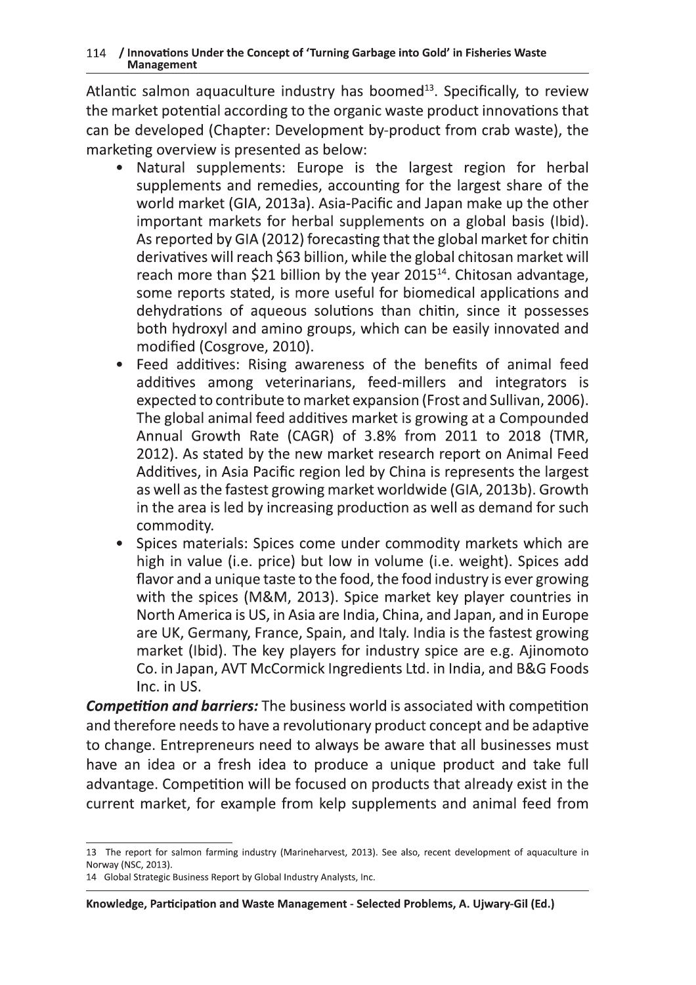Atlantic salmon aquaculture industry has boomed<sup>13</sup>. Specifically, to review the market potential according to the organic waste product innovations that can be developed (Chapter: Development by-product from crab waste), the marketing overview is presented as below:

- Natural supplements: Europe is the largest region for herbal supplements and remedies, accounting for the largest share of the world market (GIA, 2013a). Asia-Pacific and Japan make up the other important markets for herbal supplements on a global basis (Ibid). As reported by GIA (2012) forecasting that the global market for chitin derivatives will reach \$63 billion, while the global chitosan market will reach more than \$21 billion by the year 2015<sup>14</sup>. Chitosan advantage, some reports stated, is more useful for biomedical applications and dehydrations of aqueous solutions than chitin, since it possesses both hydroxyl and amino groups, which can be easily innovated and modified (Cosgrove, 2010).
- $\bullet$ Feed additives: Rising awareness of the benefits of animal feed additives among veterinarians, feed-millers and integrators is expected to contribute to market expansion (Frost and Sullivan, 2006). The global animal feed additives market is growing at a Compounded Annual Growth Rate (CAGR) of 3.8% from 2011 to 2018 (TMR, 2012). As stated by the new market research report on Animal Feed Additives, in Asia Pacific region led by China is represents the largest as well as the fastest growing market worldwide (GIA, 2013b). Growth in the area is led by increasing production as well as demand for such commodity.
- Spices materials: Spices come under commodity markets which are  $\bullet$ high in value (i.e. price) but low in volume (i.e. weight). Spices add flavor and a unique taste to the food, the food industry is ever growing with the spices (M&M, 2013). Spice market key player countries in North America is US, in Asia are India, China, and Japan, and in Europe are UK, Germany, France, Spain, and Italy. India is the fastest growing market (Ibid). The key players for industry spice are e.g. Ajinomoto Co. in Japan, AVT McCormick Ingredients Ltd. in India, and B&G Foods Inc. in US.

**Competition and barriers:** The business world is associated with competition and therefore needs to have a revolutionary product concept and be adaptive to change. Entrepreneurs need to always be aware that all businesses must have an idea or a fresh idea to produce a unique product and take full advantage. Competition will be focused on products that already exist in the current market, for example from kelp supplements and animal feed from

<sup>13</sup> The report for salmon farming industry (Marineharvest, 2013). See also, recent development of aquaculture in Norway (NSC, 2013).

<sup>14</sup> Global Strategic Business Report by Global Industry Analysts, Inc.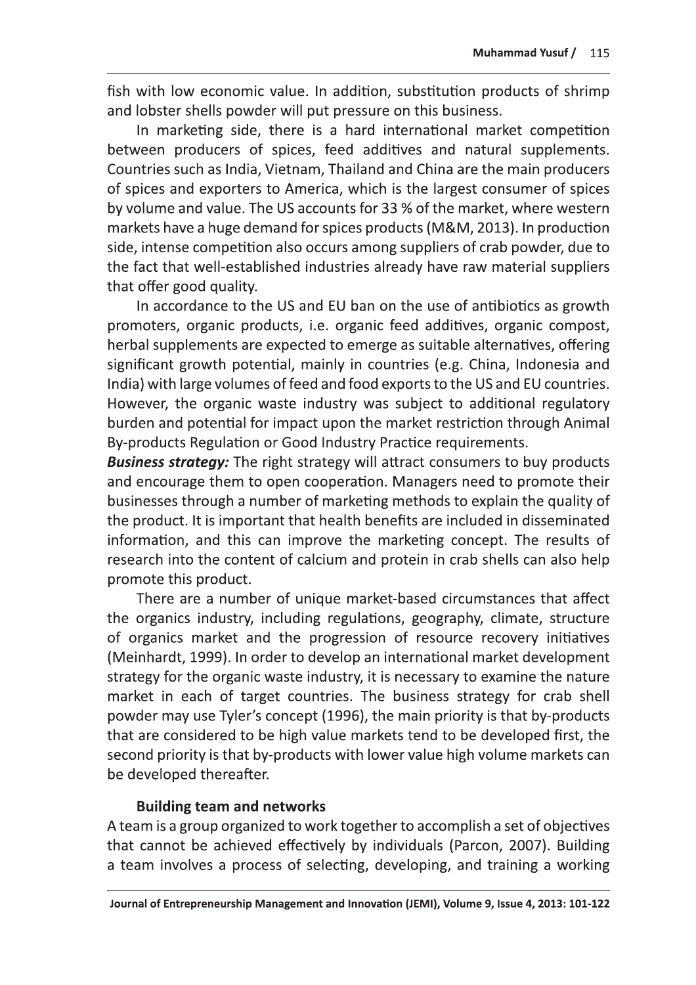fish with low economic value. In addition, substitution products of shrimp and lobster shells powder will put pressure on this business.

In marketing side, there is a hard international market competition between producers of spices, feed additives and natural supplements. Countries such as India, Vietnam, Thailand and China are the main producers of spices and exporters to America, which is the largest consumer of spices by volume and value. The US accounts for 33 % of the market, where western markets have a huge demand for spices products (M&M, 2013). In production side, intense competition also occurs among suppliers of crab powder, due to the fact that well-established industries already have raw material suppliers that offer good quality.

In accordance to the US and EU ban on the use of antibiotics as growth promoters, organic products, i.e. organic feed additives, organic compost, herbal supplements are expected to emerge as suitable alternatives, offering significant growth potential, mainly in countries (e.g. China, Indonesia and India) with large volumes of feed and food exports to the US and EU countries. However, the organic waste industry was subject to additional regulatory burden and potential for impact upon the market restriction through Animal By-products Regulation or Good Industry Practice requirements.

**Business strategy:** The right strategy will attract consumers to buy products and encourage them to open cooperation. Managers need to promote their businesses through a number of marketing methods to explain the quality of the product. It is important that health benefits are included in disseminated information, and this can improve the marketing concept. The results of research into the content of calcium and protein in crab shells can also help promote this product.

There are a number of unique market-based circumstances that affect the organics industry, including regulations, geography, climate, structure of organics market and the progression of resource recovery initiatives (Meinhardt, 1999). In order to develop an international market development strategy for the organic waste industry, it is necessary to examine the nature market in each of target countries. The business strategy for crab shell powder may use Tyler's concept (1996), the main priority is that by-products that are considered to be high value markets tend to be developed first, the second priority is that by-products with lower value high volume markets can be developed thereafter.

#### **Building team and networks**

A team is a group organized to work together to accomplish a set of objectives that cannot be achieved effectively by individuals (Parcon, 2007). Building a team involves a process of selecting, developing, and training a working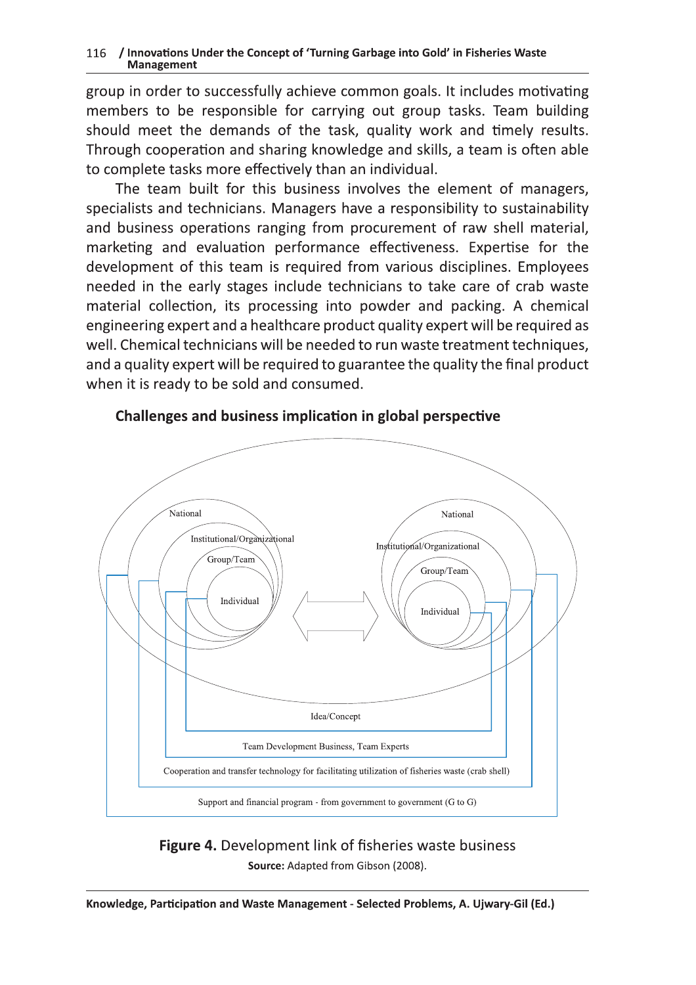## 116 / Innovatio

116 / Innovations Under the Concept of 'Turning Garbage into Gold' in Fisheries Waste<br>
group in order to successfully achieve common goals. It includes motive<br>
members to be responsible for carrying out group tasks. Team b group in order to successfully achieve common goals. It includes motivating members to be responsible for carrying out group tasks. Ieam building  $\mathop{\mathsf{should}}\nolimits$  meet the demands of the task, quality work and  $\mathop{\mathsf{t}}\nolimits$  mely results. Through cooperation and sharing knowledge and skills, a team is often able to complete tasks more effectively than an individual.

The team built for this business involves the element of managers,  $s$  pecialists and technicians. Managers have a responsibility to sustainability and business operations ranging from procurement of raw shell material, marketing and evaluation performance effectiveness. Expertise for the development of this team is required from various disciplines. Employees needed in the early stages include technicians to take care of crab waste material collection, its processing into powder and packing. A chemical engineering expert and a healthcare product quality expert will be required as well. Chemical technicians will be needed to run waste treatment techniques,  $\,$ and a quality expert will be required to guarantee the quality the final product when it is ready to be sold and consumed.  $\;$ 



### Challenges and business implication in global perspective

**Figure 4.** Development link of fisheries waste business Source: Adapted from Gibson (2008).

¡¢££¤¥¦y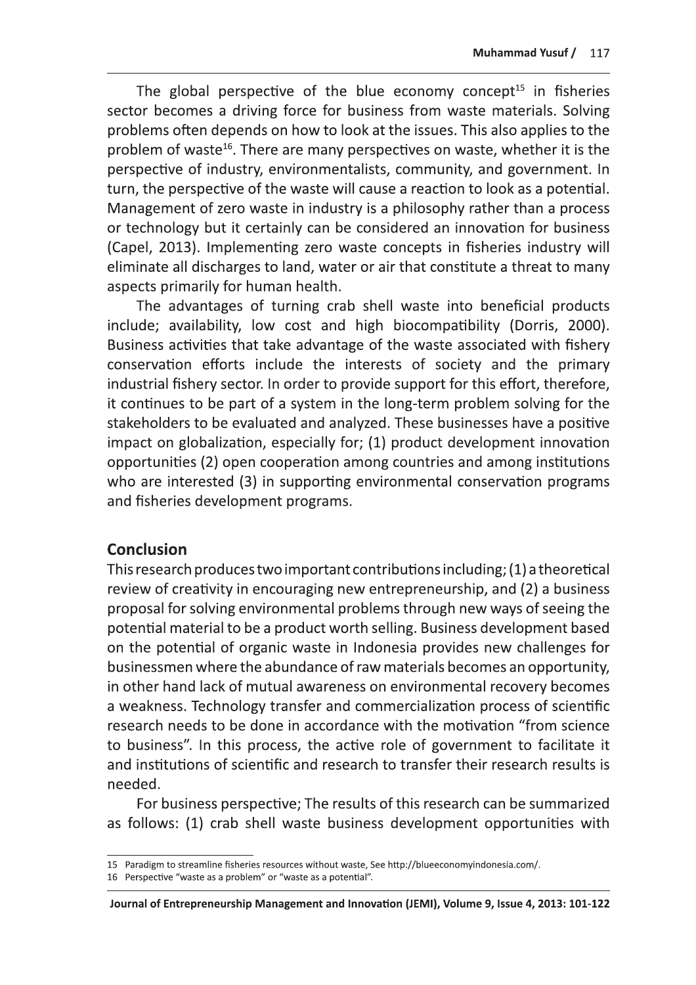The global perspective of the blue economy concept<sup>15</sup> in fisheries sector becomes a driving force for business from waste materials. Solving problems often depends on how to look at the issues. This also applies to the problem of waste<sup>16</sup>. There are many perspectives on waste, whether it is the perspective of industry, environmentalists, community, and government. In turn, the perspective of the waste will cause a reaction to look as a potential. Management of zero waste in industry is a philosophy rather than a process or technology but it certainly can be considered an innovation for business (Capel, 2013). Implementing zero waste concepts in fisheries industry will eliminate all discharges to land, water or air that constitute a threat to many aspects primarily for human health.

The advantages of turning crab shell waste into beneficial products include; availability, low cost and high biocompatibility (Dorris, 2000). Business activities that take advantage of the waste associated with fishery conservation efforts include the interests of society and the primary industrial fishery sector. In order to provide support for this effort, therefore, it continues to be part of a system in the long-term problem solving for the stakeholders to be evaluated and analyzed. These businesses have a positive impact on globalization, especially for; (1) product development innovation opportunities (2) open cooperation among countries and among institutions who are interested (3) in supporting environmental conservation programs and fisheries development programs.

### **Conclusion**

This research produces two important contributions including; (1) a theoretical review of creativity in encouraging new entrepreneurship, and (2) a business proposal for solving environmental problems through new ways of seeing the potential material to be a product worth selling. Business development based on the potential of organic waste in Indonesia provides new challenges for businessmen where the abundance of raw materials becomes an opportunity, in other hand lack of mutual awareness on environmental recovery becomes a weakness. Technology transfer and commercialization process of scientific research needs to be done in accordance with the motivation "from science to business". In this process, the active role of government to facilitate it and institutions of scientific and research to transfer their research results is needed.

For business perspective; The results of this research can be summarized as follows: (1) crab shell waste business development opportunities with

Journal of Entrepreneurship Management and Innovation (JEMI), Volume 9, Issue 4, 2013: 101-122

<sup>15</sup> Paradigm to streamline fisheries resources without waste, See http://blueeconomyindonesia.com/.

<sup>16</sup> Perspective "waste as a problem" or "waste as a potential".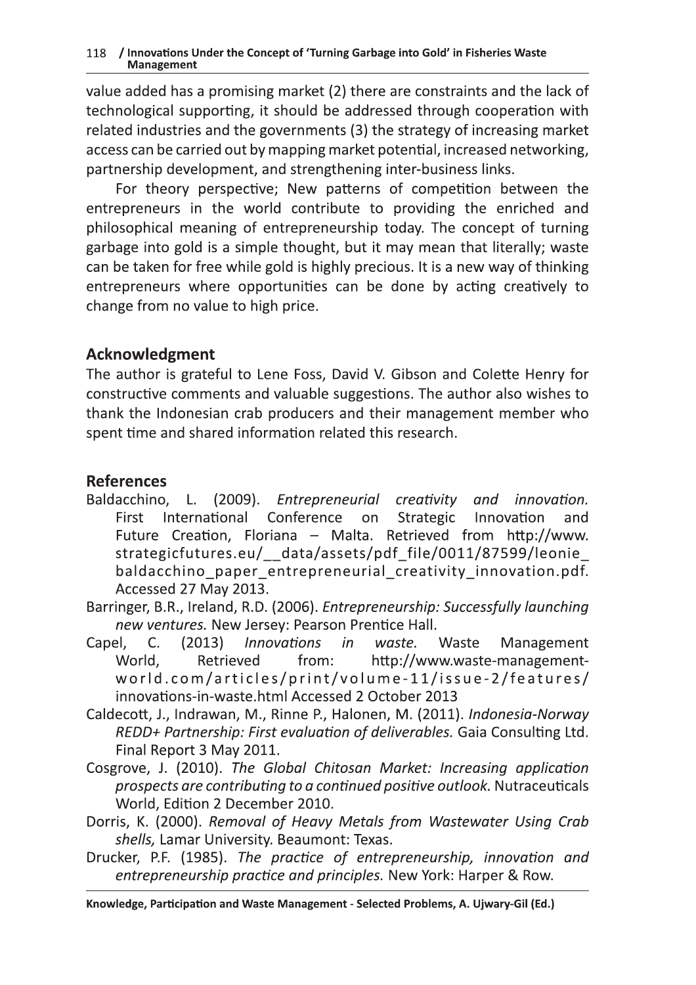118 / Innovations Under the Concept of 'Turning Garbage into Gold' in Fisheries Waste<br>
Management<br>
value added has a promising market (2) there are constraints and the late<br>
technological supporting, it should be addressed value added has a promising market (2) there are constraints and the lack of  $\,$ technological supporting, it should be addressed through cooperation with related industries and the governments (3) the strategy of increasing market  $\overline{\phantom{a}}$ access can be carried out by mapping market potential, increased networking, partnership development, and strengthening inter-business links.

For theory perspective; New patterns of competition between the entrepreneurs in the world contribute to providing the enriched and philosophical meaning of entrepreneurship today. The concept of turning garbage into gold is a simple thought, but it may mean that literally; waste can be taken for free while gold is highly precious. It is a new way of thinking entrepreneurs where opportunities can be done by acting creatively to change from no value to high price. For theory perspective; New patterns<br>
entrepreneurs in the world contribute to<br>
philosophical meaning of entrepreneurship<br>
garbage into gold is a simple thought, but it<br>
can be taken for free while gold is highly preci<br>
e

author is grateful to Lene Foss, David V. Gibson and Colette Henry for  $\overline{\text{const}}$ ructive comments and valuable suggestions. The author also wishes to thank the Indonesian crab producers and their management member who  $s$ pent time and shared information related this research.  $\;$ 

### **References**

- Baldacchino, L. (2009). Entrepreneurial creativity and innovation. First International Conference on Strategic Innovation and Future Creation, Floriana – Malta. Retrieved from http://www. strategicfutures.eu/\_\_data/assets/pdf\_file/0011/87599/leonie\_ baldacchino paper entrepreneurial creativity innovation.pdf.  $\lambda$  CCessed 27 May 2013.
- Barringer, B.R., Ireland, R.D. (2006). *Entrepreneurship: Successfully launching* new ventures. New Jersey: Pearson Prentice Hall.<br>...
- Capel,  $C_{\cdot}$ (2013) Innovations in waste. Waste Management World. Retrieved  $from:$ http://www.waste-managementworld.com/articles/print/volume-11/issue-2/features/  $\begin{bmatrix} \text{innovations-in-waste.html} \ \text{Accessed 2 October 2013} \end{bmatrix}$
- Caldecott, J., Indrawan, M., Rinne P., Halonen, M. (2011). *Indonesia-Norway* oywrqpsrvtyvrqys|wxuw{pyy~sxv|srw xs-e8C8-fAD>:9MDE-bG<T-Final Report 3 May 2011.
- Cosgrove, J. (2010). The Global Chitosan Market: Increasing application prospects are contributing to a continued positive outlook. Nutraceuticals World, Edition 2 December 2010.<br>.
- Dorris, K. (2000). *Removal of Heavy Metals from Wastewater Using Crab* s*hells,* Lamar University. Beaumont: Texas.
- Drucker, P.F. (1985). The practice of entrepreneurship, innovation and entrepreneurship practice and principles. New York: Harper & Row.

knowledge, Participation and Waste Management - Selected Problems, A. Ujwary-Gil (Ed.)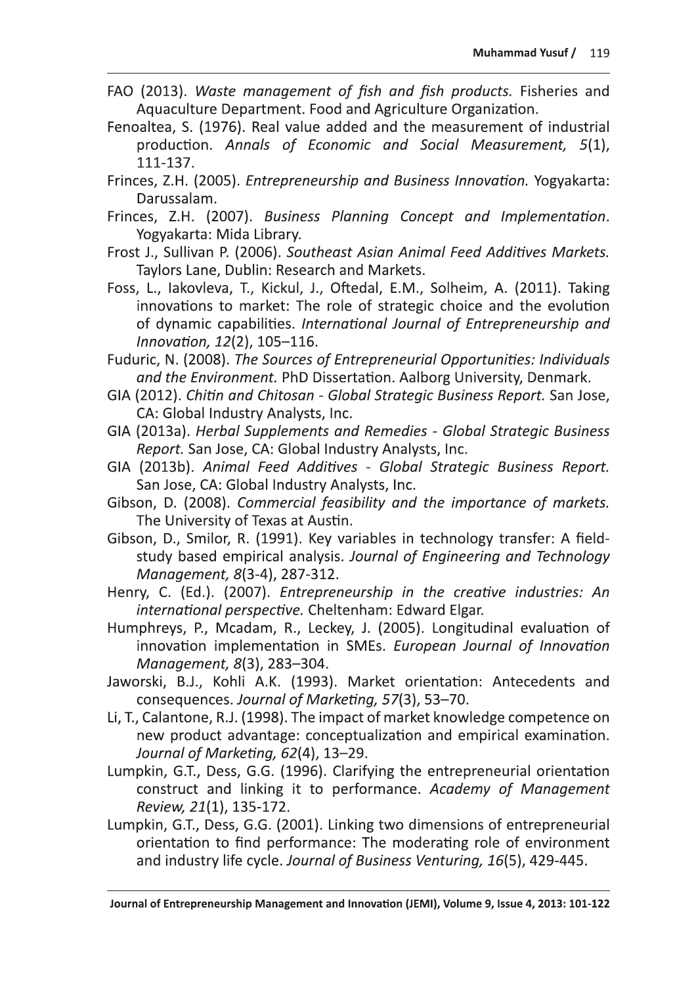- FAO (2013). Waste management of fish and fish products. Fisheries and Aquaculture Department. Food and Agriculture Organization.
- Fenoaltea, S. (1976). Real value added and the measurement of industrial production. Annals of Economic and Social Measurement, 5(1), 111-137.
- Frinces, Z.H. (2005). *Entrepreneurship and Business Innovation*. Yogyakarta: Darussalam.
- Frinces, Z.H. (2007). Business Planning Concept and Implementation. Yogyakarta: Mida Library.
- Frost J., Sullivan P. (2006). Southeast Asian Animal Feed Additives Markets. Taylors Lane, Dublin: Research and Markets.
- Foss, L., lakovleva, T., Kickul, J., Oftedal, E.M., Solheim, A. (2011). Taking innovations to market: The role of strategic choice and the evolution of dynamic capabilities. International Journal of Entrepreneurship and Innovation, 12(2), 105-116.
- Fuduric, N. (2008). The Sources of Entrepreneurial Opportunities: Individuals and the Environment. PhD Dissertation. Aalborg University, Denmark.
- GIA (2012). Chitin and Chitosan Global Strategic Business Report. San Jose, CA: Global Industry Analysts, Inc.
- GIA (2013a). Herbal Supplements and Remedies Global Strategic Business Report. San Jose, CA: Global Industry Analysts, Inc.
- GIA (2013b). Animal Feed Additives Global Strategic Business Report. San Jose, CA: Global Industry Analysts, Inc.
- Gibson, D. (2008). Commercial feasibility and the importance of markets. The University of Texas at Austin.
- Gibson, D., Smilor, R. (1991). Key variables in technology transfer: A fieldstudy based empirical analysis. Journal of Engineering and Technology Management, 8(3-4), 287-312.
- Henry, C. (Ed.). (2007). Entrepreneurship in the creative industries: An international perspective. Cheltenham: Edward Elgar.
- Humphreys, P., Mcadam, R., Leckey, J. (2005). Longitudinal evaluation of innovation implementation in SMEs. European Journal of Innovation Management, 8(3), 283-304.
- Jaworski, B.J., Kohli A.K. (1993). Market orientation: Antecedents and consequences. Journal of Marketing, 57(3), 53-70.
- Li, T., Calantone, R.J. (1998). The impact of market knowledge competence on new product advantage: conceptualization and empirical examination. Journal of Marketing, 62(4), 13-29.
- Lumpkin, G.T., Dess, G.G. (1996). Clarifying the entrepreneurial orientation construct and linking it to performance. Academy of Management Review, 21(1), 135-172.
- Lumpkin, G.T., Dess, G.G. (2001). Linking two dimensions of entrepreneurial orientation to find performance: The moderating role of environment and industry life cycle. Journal of Business Venturing, 16(5), 429-445.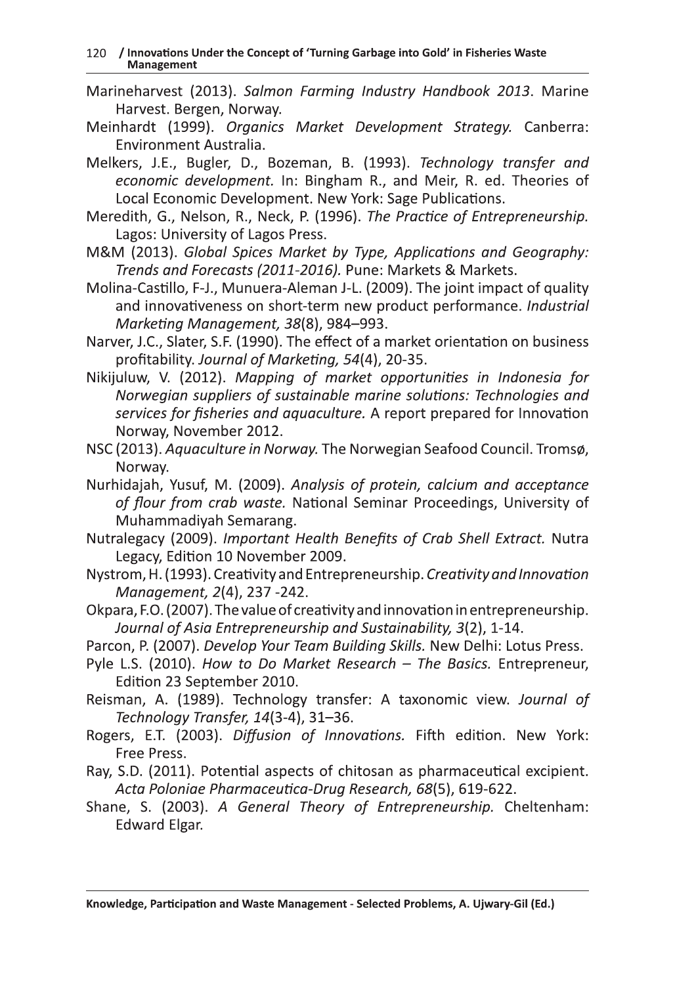- Marineharvest (2013). Salmon Farming Industry Handbook 2013. Marine Harvest. Bergen, Norway.
- Meinhardt (1999). Organics Market Development Strategy. Canberra: Environment Australia.
- Melkers, J.E., Bugler, D., Bozeman, B. (1993). Technology transfer and economic development. In: Bingham R., and Meir, R. ed. Theories of Local Economic Development. New York: Sage Publications.
- Meredith, G., Nelson, R., Neck, P. (1996). The Practice of Entrepreneurship. Lagos: University of Lagos Press.
- M&M (2013). Global Spices Market by Type, Applications and Geography: Trends and Forecasts (2011-2016). Pune: Markets & Markets.
- Molina-Castillo, F-J., Munuera-Aleman J-L. (2009). The joint impact of quality and innovativeness on short-term new product performance. Industrial Marketing Management, 38(8), 984-993.
- Narver, J.C., Slater, S.F. (1990). The effect of a market orientation on business profitability. Journal of Marketing, 54(4), 20-35.
- Nikijuluw, V. (2012). Mapping of market opportunities in Indonesia for Norwegian suppliers of sustainable marine solutions: Technologies and services for fisheries and aquaculture. A report prepared for Innovation Norway, November 2012.
- NSC (2013). Aquaculture in Norway. The Norwegian Seafood Council. Tromsø, Norway.
- Nurhidajah, Yusuf, M. (2009). Analysis of protein, calcium and acceptance of flour from crab waste. National Seminar Proceedings, University of Muhammadiyah Semarang.
- Nutralegacy (2009). Important Health Benefits of Crab Shell Extract. Nutra Legacy, Edition 10 November 2009.
- Nystrom, H. (1993). Creativity and Entrepreneurship. Creativity and Innovation Management, 2(4), 237 -242.
- Okpara, F.O. (2007). The value of creativity and innovation in entrepreneurship. Journal of Asia Entrepreneurship and Sustainability, 3(2), 1-14.
- Parcon, P. (2007). Develop Your Team Building Skills. New Delhi: Lotus Press.
- Pyle L.S. (2010). How to Do Market Research The Basics. Entrepreneur, Edition 23 September 2010.
- Reisman, A. (1989). Technology transfer: A taxonomic view. Journal of Technology Transfer, 14(3-4), 31-36.
- Rogers, E.T. (2003). Diffusion of Innovations. Fifth edition. New York: Free Press.
- Ray, S.D. (2011). Potential aspects of chitosan as pharmaceutical excipient. Acta Poloniae Pharmaceutica-Drug Research, 68(5), 619-622.
- Shane, S. (2003). A General Theory of Entrepreneurship. Cheltenham: **Edward Elgar.**

Knowledge, Participation and Waste Management - Selected Problems, A. Ujwary-Gil (Ed.)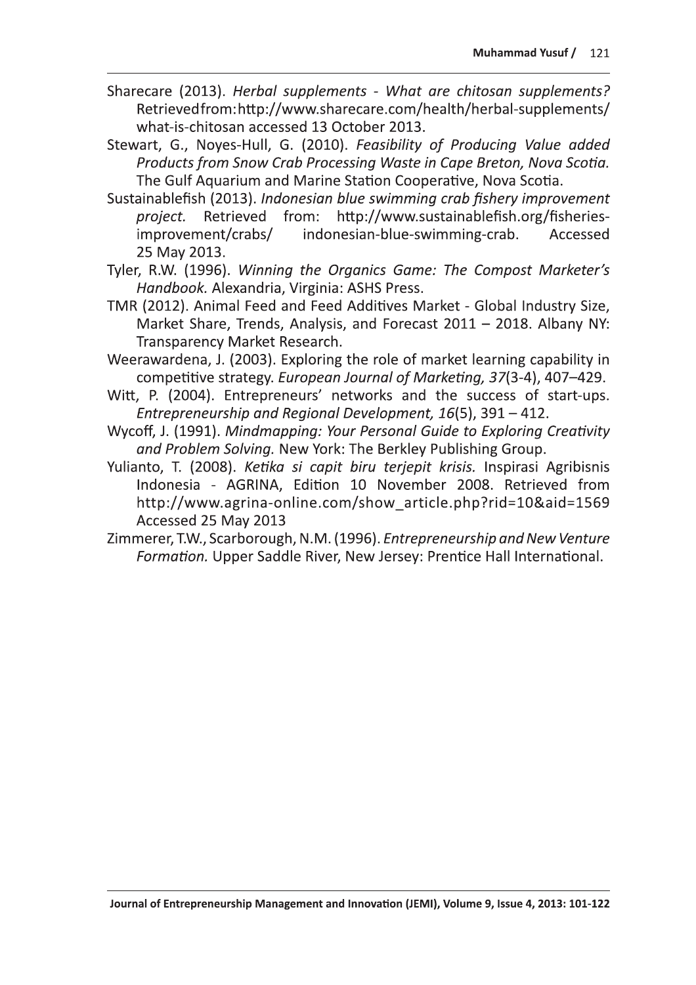- Sharecare (2013). Herbal supplements What are chitosan supplements? Retrievedfrom:http://www.sharecare.com/health/herbal-supplements/ what-is-chitosan accessed 13 October 2013.
- Stewart, G., Noyes-Hull, G. (2010). Feasibility of Producing Value added Products from Snow Crab Processing Waste in Cape Breton, Nova Scotia. The Gulf Aquarium and Marine Station Cooperative, Nova Scotia.
- Sustainablefish (2013). Indonesian blue swimming crab fishery improvement project. Retrieved from: http://www.sustainablefish.org/fisheriesimprovement/crabs/ indonesian-blue-swimming-crab. Accessed 25 May 2013.
- Tyler, R.W. (1996). Winning the Organics Game: The Compost Marketer's Handbook. Alexandria, Virginia: ASHS Press.
- TMR (2012). Animal Feed and Feed Additives Market Global Industry Size, Market Share, Trends, Analysis, and Forecast 2011 - 2018. Albany NY: Transparency Market Research.
- Weerawardena, J. (2003). Exploring the role of market learning capability in competitive strategy. European Journal of Marketing, 37(3-4), 407-429.
- Witt, P. (2004). Entrepreneurs' networks and the success of start-ups. Entrepreneurship and Regional Development, 16(5), 391 - 412.
- Wycoff, J. (1991). Mindmapping: Your Personal Guide to Exploring Creativity and Problem Solving. New York: The Berkley Publishing Group.
- Yulianto, T. (2008). Ketika si capit biru terjepit krisis. Inspirasi Agribisnis Indonesia - AGRINA, Edition 10 November 2008. Retrieved from http://www.agrina-online.com/show\_article.php?rid=10&aid=1569 Accessed 25 May 2013
- Zimmerer, T.W., Scarborough, N.M. (1996). Entrepreneurship and New Venture Formation. Upper Saddle River, New Jersey: Prentice Hall International.